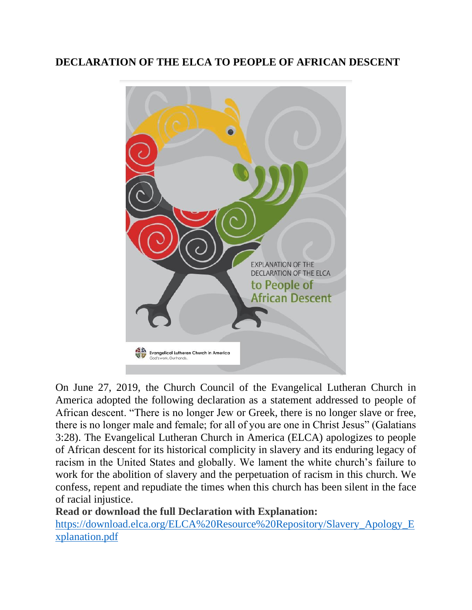# **DECLARATION OF THE ELCA TO PEOPLE OF AFRICAN DESCENT**



On June 27, 2019, the Church Council of the Evangelical Lutheran Church in America adopted the following declaration as a statement addressed to people of African descent. "There is no longer Jew or Greek, there is no longer slave or free, there is no longer male and female; for all of you are one in Christ Jesus" (Galatians 3:28). The Evangelical Lutheran Church in America (ELCA) apologizes to people of African descent for its historical complicity in slavery and its enduring legacy of racism in the United States and globally. We lament the white church's failure to work for the abolition of slavery and the perpetuation of racism in this church. We confess, repent and repudiate the times when this church has been silent in the face of racial injustice.

## **Read or download the full Declaration with Explanation:**

[https://download.elca.org/ELCA%20Resource%20Repository/Slavery\\_Apology\\_E](https://download.elca.org/ELCA%20Resource%20Repository/Slavery_Apology_Explanation.pdf) [xplanation.pdf](https://download.elca.org/ELCA%20Resource%20Repository/Slavery_Apology_Explanation.pdf)